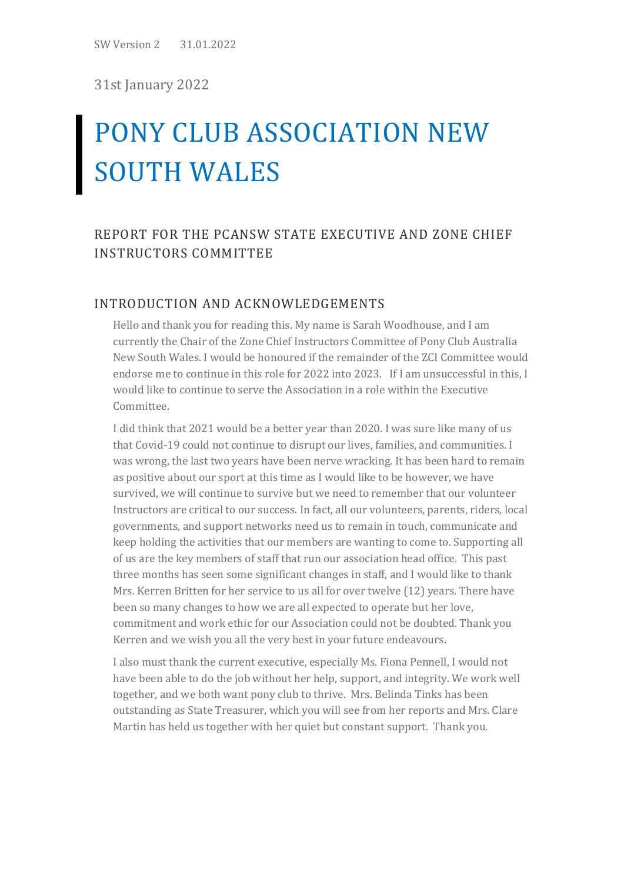SW Version 2 31.01.2022

31st January 2022

# PONY CLUB ASSOCIATION NEW SOUTH WALES

# REPORT FOR THE PCANSW STATE EXECUTIVE AND ZONE CHIEF INSTRUCTORS COMMITTEE

#### INTRODUCTION AND ACKNOWLEDGEMENTS

Hello and thank you for reading this. My name is Sarah Woodhouse, and I am currently the Chair of the Zone Chief Instructors Committee of Pony Club Australia New South Wales. I would be honoured if the remainder of the ZCI Committee would endorse me to continue in this role for 2022 into 2023. If I am unsuccessful in this, I would like to continue to serve the Association in a role within the Executive Committee.

I did think that 2021 would be a better year than 2020. I was sure like many of us that Covid-19 could not continue to disrupt our lives, families, and communities. I was wrong, the last two years have been nerve wracking. It has been hard to remain as positive about our sport at this time as I would like to be however, we have survived, we will continue to survive but we need to remember that our volunteer Instructors are critical to our success. In fact, all our volunteers, parents, riders, local governments, and support networks need us to remain in touch, communicate and keep holding the activities that our members are wanting to come to. Supporting all of us are the key members of staff that run our association head office. This past three months has seen some significant changes in staff, and I would like to thank Mrs. Kerren Britten for her service to us all for over twelve (12) years. There have been so many changes to how we are all expected to operate but her love, commitment and work ethic for our Association could not be doubted. Thank you Kerren and we wish you all the very best in your future endeavours.

I also must thank the current executive, especially Ms. Fiona Pennell, I would not have been able to do the job without her help, support, and integrity. We work well together, and we both want pony club to thrive. Mrs. Belinda Tinks has been outstanding as State Treasurer, which you will see from her reports and Mrs. Clare Martin has held us together with her quiet but constant support. Thank you.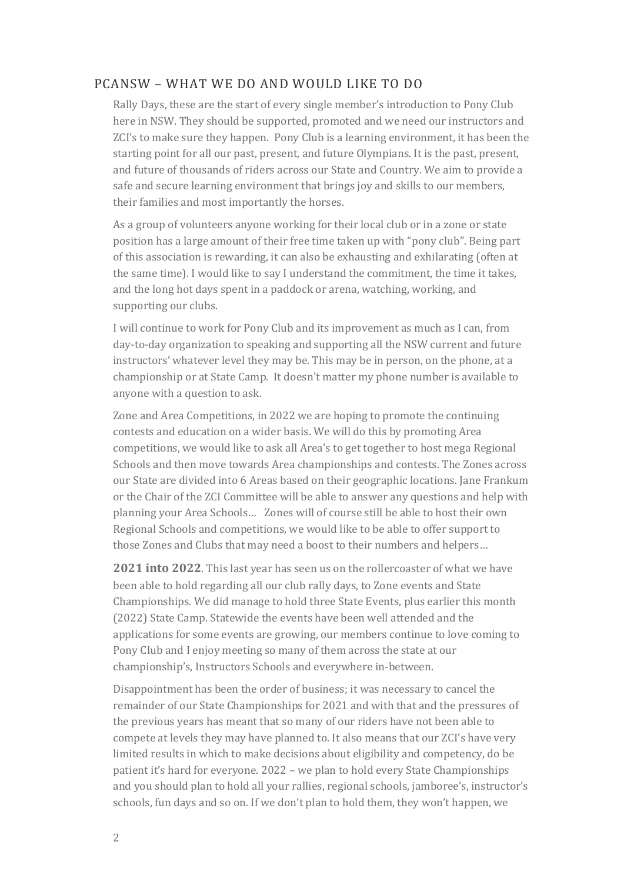## PCANSW – WHAT WE DO AND WOULD LIKE TO DO

Rally Days, these are the start of every single member's introduction to Pony Club here in NSW. They should be supported, promoted and we need our instructors and ZCI's to make sure they happen. Pony Club is a learning environment, it has been the starting point for all our past, present, and future Olympians. It is the past, present, and future of thousands of riders across our State and Country. We aim to provide a safe and secure learning environment that brings joy and skills to our members, their families and most importantly the horses.

As a group of volunteers anyone working for their local club or in a zone or state position has a large amount of their free time taken up with "pony club". Being part of this association is rewarding, it can also be exhausting and exhilarating (often at the same time). I would like to say I understand the commitment, the time it takes, and the long hot days spent in a paddock or arena, watching, working, and supporting our clubs.

I will continue to work for Pony Club and its improvement as much as I can, from day-to-day organization to speaking and supporting all the NSW current and future instructors' whatever level they may be. This may be in person, on the phone, at a championship or at State Camp. It doesn't matter my phone number is available to anyone with a question to ask.

Zone and Area Competitions, in 2022 we are hoping to promote the continuing contests and education on a wider basis. We will do this by promoting Area competitions, we would like to ask all Area's to get together to host mega Regional Schools and then move towards Area championships and contests. The Zones across our State are divided into 6 Areas based on their geographic locations. Jane Frankum or the Chair of the ZCI Committee will be able to answer any questions and help with planning your Area Schools… Zones will of course still be able to host their own Regional Schools and competitions, we would like to be able to offer support to those Zones and Clubs that may need a boost to their numbers and helpers…

**2021 into 2022**. This last year has seen us on the rollercoaster of what we have been able to hold regarding all our club rally days, to Zone events and State Championships. We did manage to hold three State Events, plus earlier this month (2022) State Camp. Statewide the events have been well attended and the applications for some events are growing, our members continue to love coming to Pony Club and I enjoy meeting so many of them across the state at our championship's, Instructors Schools and everywhere in-between.

Disappointment has been the order of business; it was necessary to cancel the remainder of our State Championships for 2021 and with that and the pressures of the previous years has meant that so many of our riders have not been able to compete at levels they may have planned to. It also means that our ZCI's have very limited results in which to make decisions about eligibility and competency, do be patient it's hard for everyone. 2022 – we plan to hold every State Championships and you should plan to hold all your rallies, regional schools, jamboree's, instructor's schools, fun days and so on. If we don't plan to hold them, they won't happen, we